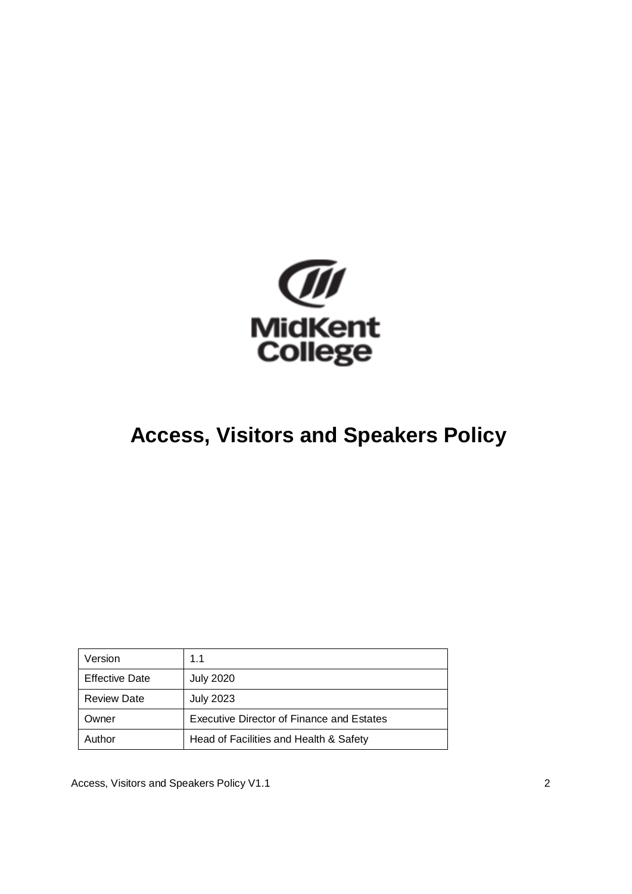

# **Access, Visitors and Speakers Policy**

| Version               | 1.1                                              |
|-----------------------|--------------------------------------------------|
| <b>Effective Date</b> | <b>July 2020</b>                                 |
| <b>Review Date</b>    | <b>July 2023</b>                                 |
| Owner                 | <b>Executive Director of Finance and Estates</b> |
| Author                | Head of Facilities and Health & Safety           |

Access, Visitors and Speakers Policy V1.1 2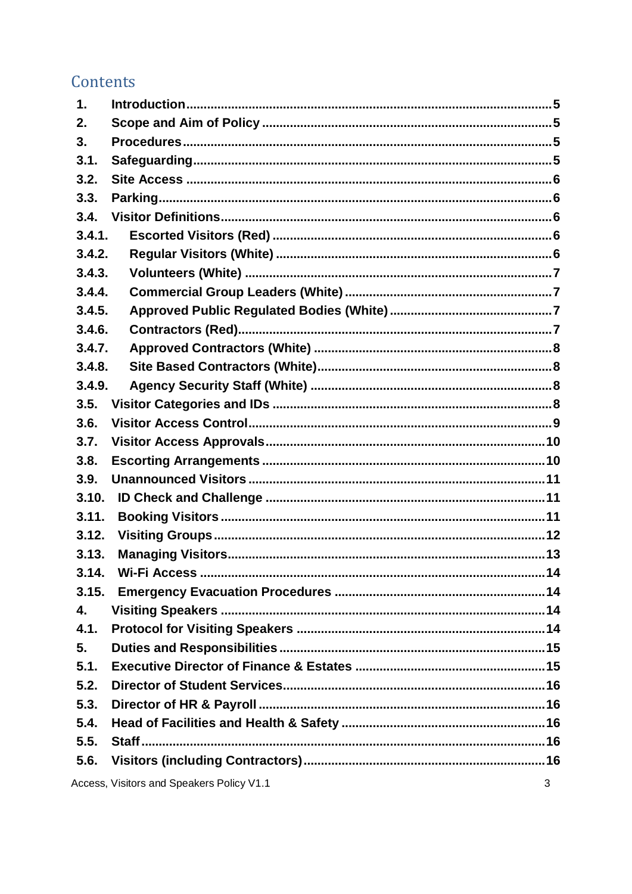# Contents

| $\mathbf 1$ . |                                           |    |
|---------------|-------------------------------------------|----|
| 2.            |                                           |    |
| 3.            |                                           |    |
| 3.1.          |                                           |    |
| 3.2.          |                                           |    |
| 3.3.          |                                           |    |
| 3.4.          |                                           |    |
| 3.4.1.        |                                           |    |
| 3.4.2.        |                                           |    |
| 3.4.3.        |                                           |    |
| 3.4.4.        |                                           |    |
| 3.4.5.        |                                           |    |
| 3.4.6.        |                                           |    |
| 3.4.7.        |                                           |    |
| 3.4.8.        |                                           |    |
| 3.4.9.        |                                           |    |
| 3.5.          |                                           |    |
| 3.6.          |                                           |    |
| 3.7.          |                                           |    |
| 3.8.          |                                           |    |
| 3.9.          |                                           |    |
| 3.10.         |                                           |    |
| 3.11.         |                                           |    |
| 3.12.         |                                           |    |
| 3.13.         |                                           |    |
| 3.14.         | Wi-Fi Access                              | 14 |
| 3.15.         |                                           |    |
| 4.            |                                           |    |
| 4.1.          |                                           |    |
| 5.            |                                           |    |
| 5.1.          |                                           |    |
| 5.2.          |                                           |    |
| 5.3.          |                                           |    |
| 5.4.          |                                           |    |
| 5.5.          |                                           |    |
| 5.6.          |                                           |    |
|               | Access, Visitors and Speakers Policy V1.1 | 3  |

Access, Visitors and Speakers Policy V1.1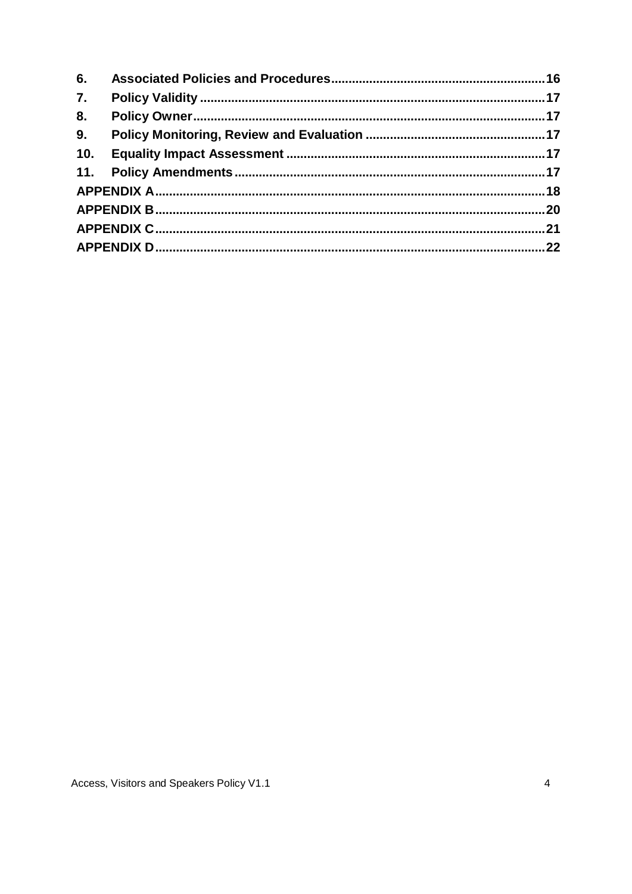| 6.               |  |
|------------------|--|
| $\overline{7}$ . |  |
| 8.               |  |
| 9.               |  |
| 10.              |  |
|                  |  |
|                  |  |
|                  |  |
|                  |  |
|                  |  |
|                  |  |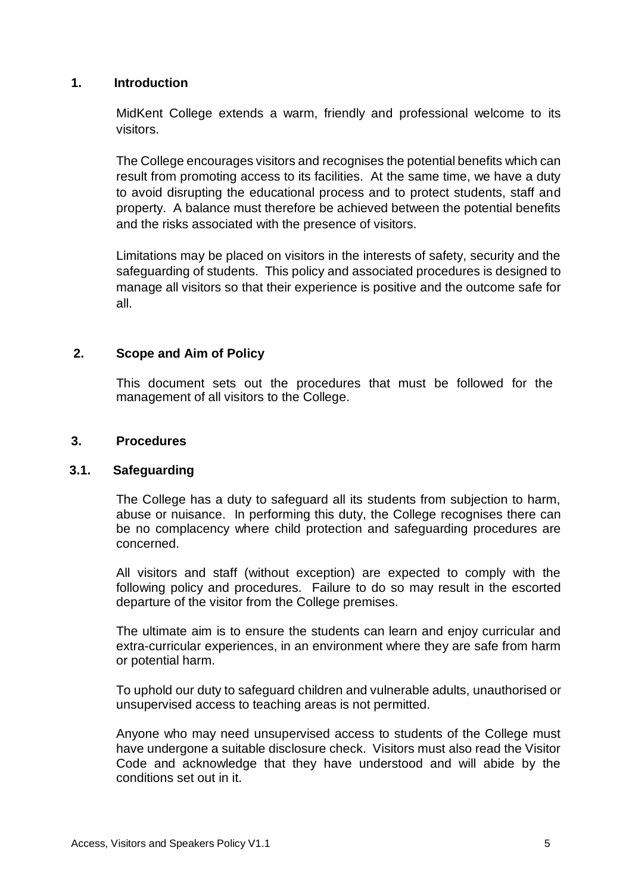#### <span id="page-3-0"></span>**1. Introduction**

MidKent College extends a warm, friendly and professional welcome to its visitors.

The College encourages visitors and recognises the potential benefits which can result from promoting access to its facilities. At the same time, we have a duty to avoid disrupting the educational process and to protect students, staff and property. A balance must therefore be achieved between the potential benefits and the risks associated with the presence of visitors.

Limitations may be placed on visitors in the interests of safety, security and the safeguarding of students. This policy and associated procedures is designed to manage all visitors so that their experience is positive and the outcome safe for all.

#### <span id="page-3-1"></span>**2. Scope and Aim of Policy**

This document sets out the procedures that must be followed for the management of all visitors to the College.

#### <span id="page-3-2"></span>**3. Procedures**

#### <span id="page-3-3"></span>**3.1. Safeguarding**

The College has a duty to safeguard all its students from subjection to harm, abuse or nuisance. In performing this duty, the College recognises there can be no complacency where child protection and safeguarding procedures are concerned.

All visitors and staff (without exception) are expected to comply with the following policy and procedures. Failure to do so may result in the escorted departure of the visitor from the College premises.

The ultimate aim is to ensure the students can learn and enjoy curricular and extra-curricular experiences, in an environment where they are safe from harm or potential harm.

To uphold our duty to safeguard children and vulnerable adults, unauthorised or unsupervised access to teaching areas is not permitted.

Anyone who may need unsupervised access to students of the College must have undergone a suitable disclosure check. Visitors must also read the Visitor Code and acknowledge that they have understood and will abide by the conditions set out in it.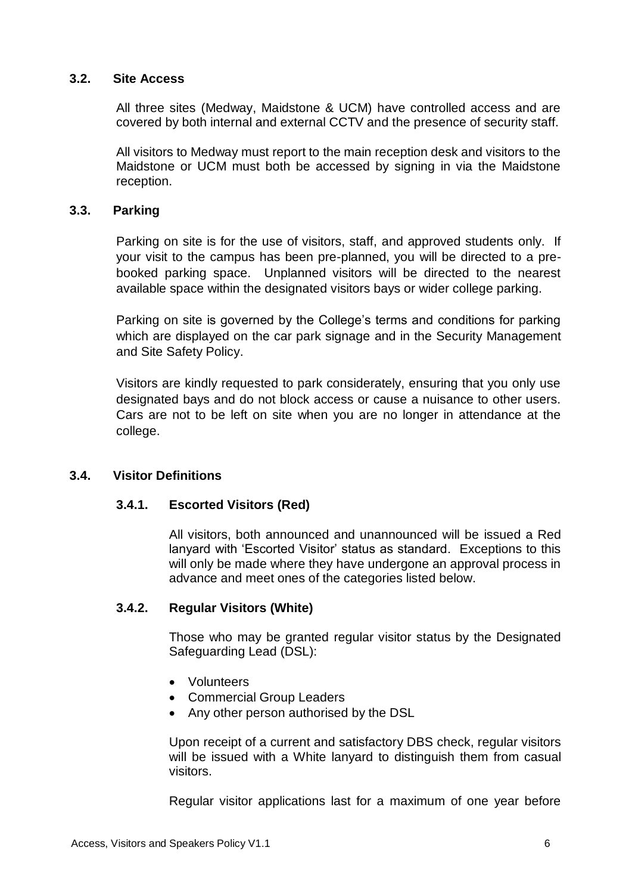#### <span id="page-4-0"></span>**3.2. Site Access**

All three sites (Medway, Maidstone & UCM) have controlled access and are covered by both internal and external CCTV and the presence of security staff.

All visitors to Medway must report to the main reception desk and visitors to the Maidstone or UCM must both be accessed by signing in via the Maidstone reception.

#### <span id="page-4-1"></span>**3.3. Parking**

Parking on site is for the use of visitors, staff, and approved students only. If your visit to the campus has been pre-planned, you will be directed to a prebooked parking space. Unplanned visitors will be directed to the nearest available space within the designated visitors bays or wider college parking.

Parking on site is governed by the College's terms and conditions for parking which are displayed on the car park signage and in the Security Management and Site Safety Policy.

Visitors are kindly requested to park considerately, ensuring that you only use designated bays and do not block access or cause a nuisance to other users. Cars are not to be left on site when you are no longer in attendance at the college.

#### <span id="page-4-3"></span><span id="page-4-2"></span>**3.4. Visitor Definitions**

# **3.4.1. Escorted Visitors (Red)**

All visitors, both announced and unannounced will be issued a Red lanyard with 'Escorted Visitor' status as standard. Exceptions to this will only be made where they have undergone an approval process in advance and meet ones of the categories listed below.

# <span id="page-4-4"></span>**3.4.2. Regular Visitors (White)**

Those who may be granted regular visitor status by the Designated Safeguarding Lead (DSL):

- Volunteers
- Commercial Group Leaders
- Any other person authorised by the DSL

Upon receipt of a current and satisfactory DBS check, regular visitors will be issued with a White lanyard to distinguish them from casual visitors.

Regular visitor applications last for a maximum of one year before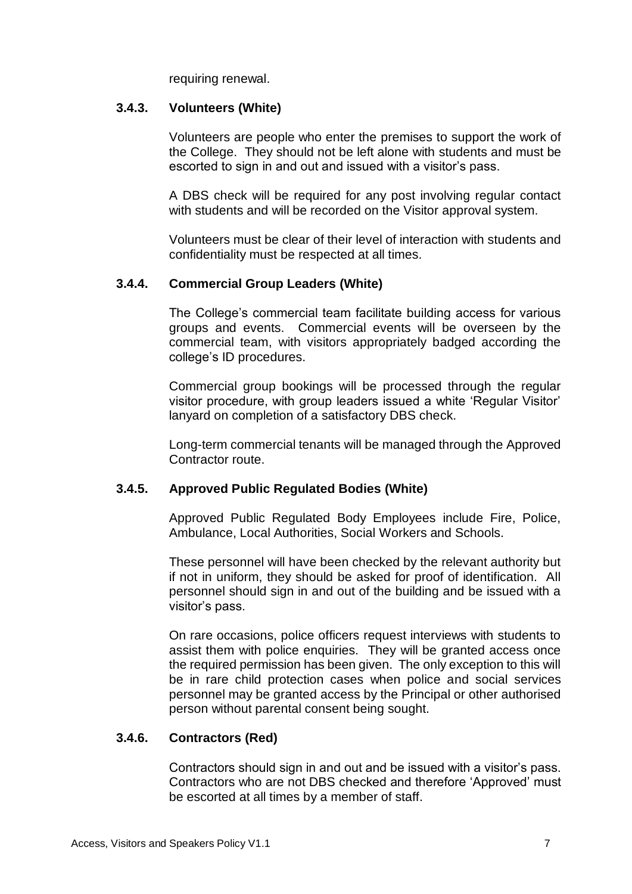requiring renewal.

#### <span id="page-5-0"></span>**3.4.3. Volunteers (White)**

Volunteers are people who enter the premises to support the work of the College. They should not be left alone with students and must be escorted to sign in and out and issued with a visitor's pass.

A DBS check will be required for any post involving regular contact with students and will be recorded on the Visitor approval system.

Volunteers must be clear of their level of interaction with students and confidentiality must be respected at all times.

#### <span id="page-5-1"></span>**3.4.4. Commercial Group Leaders (White)**

The College's commercial team facilitate building access for various groups and events. Commercial events will be overseen by the commercial team, with visitors appropriately badged according the college's ID procedures.

Commercial group bookings will be processed through the regular visitor procedure, with group leaders issued a white 'Regular Visitor' lanyard on completion of a satisfactory DBS check.

Long-term commercial tenants will be managed through the Approved Contractor route.

#### <span id="page-5-2"></span>**3.4.5. Approved Public Regulated Bodies (White)**

Approved Public Regulated Body Employees include Fire, Police, Ambulance, Local Authorities, Social Workers and Schools.

These personnel will have been checked by the relevant authority but if not in uniform, they should be asked for proof of identification. All personnel should sign in and out of the building and be issued with a visitor's pass.

On rare occasions, police officers request interviews with students to assist them with police enquiries. They will be granted access once the required permission has been given. The only exception to this will be in rare child protection cases when police and social services personnel may be granted access by the Principal or other authorised person without parental consent being sought.

#### <span id="page-5-3"></span>**3.4.6. Contractors (Red)**

Contractors should sign in and out and be issued with a visitor's pass. Contractors who are not DBS checked and therefore 'Approved' must be escorted at all times by a member of staff.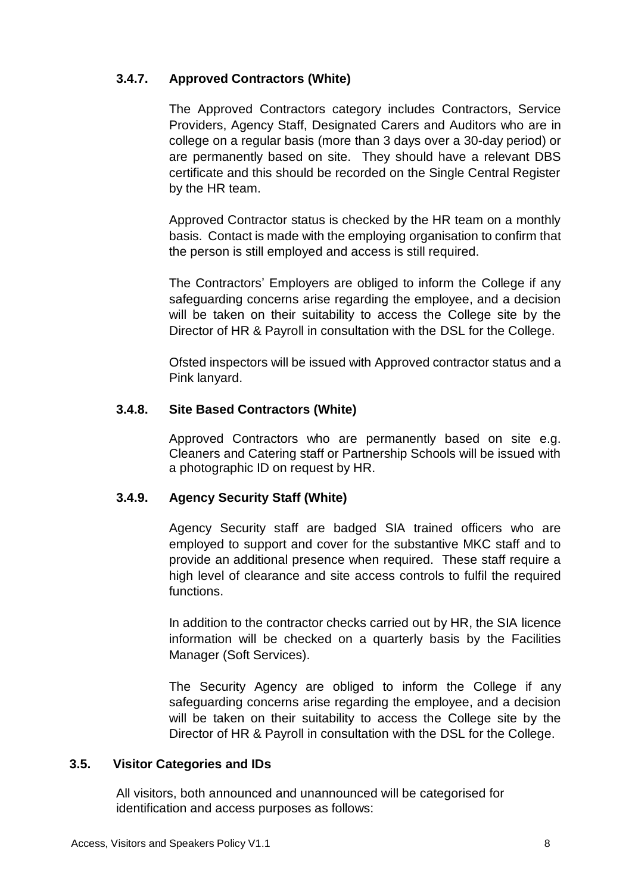# <span id="page-6-0"></span>**3.4.7. Approved Contractors (White)**

The Approved Contractors category includes Contractors, Service Providers, Agency Staff, Designated Carers and Auditors who are in college on a regular basis (more than 3 days over a 30-day period) or are permanently based on site. They should have a relevant DBS certificate and this should be recorded on the Single Central Register by the HR team.

Approved Contractor status is checked by the HR team on a monthly basis. Contact is made with the employing organisation to confirm that the person is still employed and access is still required.

The Contractors' Employers are obliged to inform the College if any safeguarding concerns arise regarding the employee, and a decision will be taken on their suitability to access the College site by the Director of HR & Payroll in consultation with the DSL for the College.

Ofsted inspectors will be issued with Approved contractor status and a Pink lanyard.

# <span id="page-6-1"></span>**3.4.8. Site Based Contractors (White)**

Approved Contractors who are permanently based on site e.g. Cleaners and Catering staff or Partnership Schools will be issued with a photographic ID on request by HR.

# <span id="page-6-2"></span>**3.4.9. Agency Security Staff (White)**

Agency Security staff are badged SIA trained officers who are employed to support and cover for the substantive MKC staff and to provide an additional presence when required. These staff require a high level of clearance and site access controls to fulfil the required functions.

In addition to the contractor checks carried out by HR, the SIA licence information will be checked on a quarterly basis by the Facilities Manager (Soft Services).

The Security Agency are obliged to inform the College if any safeguarding concerns arise regarding the employee, and a decision will be taken on their suitability to access the College site by the Director of HR & Payroll in consultation with the DSL for the College.

#### <span id="page-6-3"></span>**3.5. Visitor Categories and IDs**

All visitors, both announced and unannounced will be categorised for identification and access purposes as follows: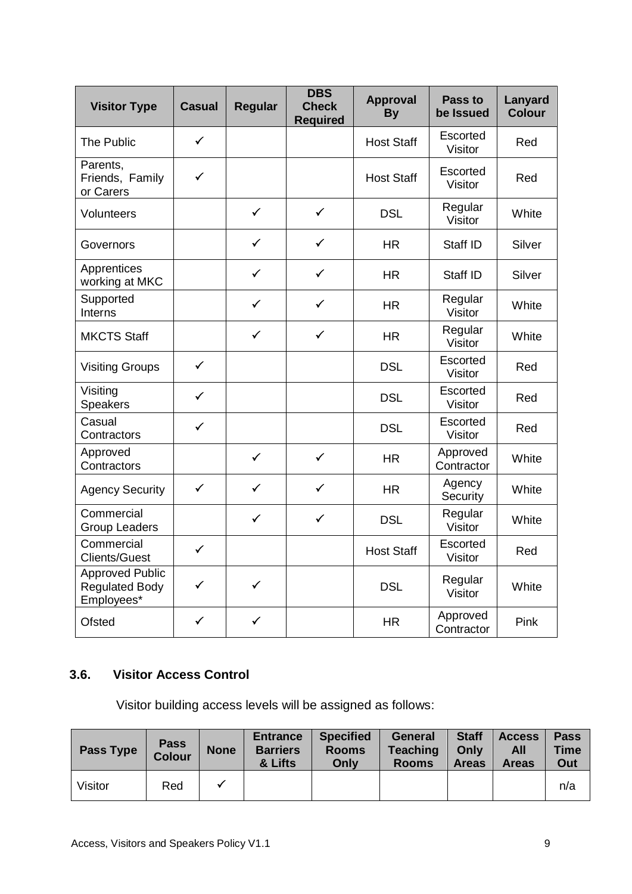| <b>Visitor Type</b>                                           | <b>Casual</b> | <b>Regular</b> | <b>DBS</b><br><b>Check</b><br><b>Required</b> | <b>Approval</b><br><b>By</b> | Pass to<br>be Issued   | Lanyard<br><b>Colour</b> |
|---------------------------------------------------------------|---------------|----------------|-----------------------------------------------|------------------------------|------------------------|--------------------------|
| The Public                                                    | $\checkmark$  |                |                                               | <b>Host Staff</b>            | Escorted<br>Visitor    | Red                      |
| Parents,<br>Friends, Family<br>or Carers                      | $\checkmark$  |                |                                               | <b>Host Staff</b>            | Escorted<br>Visitor    | Red                      |
| Volunteers                                                    |               | $\checkmark$   | $\checkmark$                                  | <b>DSL</b>                   | Regular<br>Visitor     | White                    |
| Governors                                                     |               | ✓              | ✓                                             | <b>HR</b>                    | Staff ID               | Silver                   |
| Apprentices<br>working at MKC                                 |               | $\checkmark$   | ✓                                             | <b>HR</b>                    | Staff ID               | Silver                   |
| Supported<br>Interns                                          |               | $\checkmark$   | $\checkmark$                                  | <b>HR</b>                    | Regular<br>Visitor     | White                    |
| <b>MKCTS Staff</b>                                            |               | $\checkmark$   | $\checkmark$                                  | <b>HR</b>                    | Regular<br>Visitor     | White                    |
| <b>Visiting Groups</b>                                        | $\checkmark$  |                |                                               | <b>DSL</b>                   | Escorted<br>Visitor    | Red                      |
| Visiting<br>Speakers                                          | $\checkmark$  |                |                                               | <b>DSL</b>                   | Escorted<br>Visitor    | Red                      |
| Casual<br>Contractors                                         | $\checkmark$  |                |                                               | <b>DSL</b>                   | Escorted<br>Visitor    | Red                      |
| Approved<br>Contractors                                       |               | $\checkmark$   | $\checkmark$                                  | <b>HR</b>                    | Approved<br>Contractor | White                    |
| <b>Agency Security</b>                                        | $\checkmark$  | $\checkmark$   | $\checkmark$                                  | <b>HR</b>                    | Agency<br>Security     | White                    |
| Commercial<br><b>Group Leaders</b>                            |               | ✓              | $\checkmark$                                  | <b>DSL</b>                   | Regular<br>Visitor     | White                    |
| Commercial<br><b>Clients/Guest</b>                            | ✓             |                |                                               | <b>Host Staff</b>            | Escorted<br>Visitor    | Red                      |
| <b>Approved Public</b><br><b>Regulated Body</b><br>Employees* | $\checkmark$  | $\checkmark$   |                                               | <b>DSL</b>                   | Regular<br>Visitor     | White                    |
| Ofsted                                                        | ✓             | ✓              |                                               | <b>HR</b>                    | Approved<br>Contractor | Pink                     |

# <span id="page-7-0"></span>**3.6. Visitor Access Control**

Visitor building access levels will be assigned as follows:

| <b>Pass Type</b> | <b>Pass</b><br><b>Colour</b> | <b>None</b> | <b>Entrance</b><br><b>Barriers</b><br>& Lifts | <b>Specified</b><br><b>Rooms</b><br>Only | <b>General</b><br><b>Teaching</b><br><b>Rooms</b> | <b>Staff</b><br>Only<br><b>Areas</b> | <b>Access</b><br>All<br><b>Areas</b> | <b>Pass</b><br><b>Time</b><br>Out |
|------------------|------------------------------|-------------|-----------------------------------------------|------------------------------------------|---------------------------------------------------|--------------------------------------|--------------------------------------|-----------------------------------|
| Visitor          | Red                          |             |                                               |                                          |                                                   |                                      |                                      | n/a                               |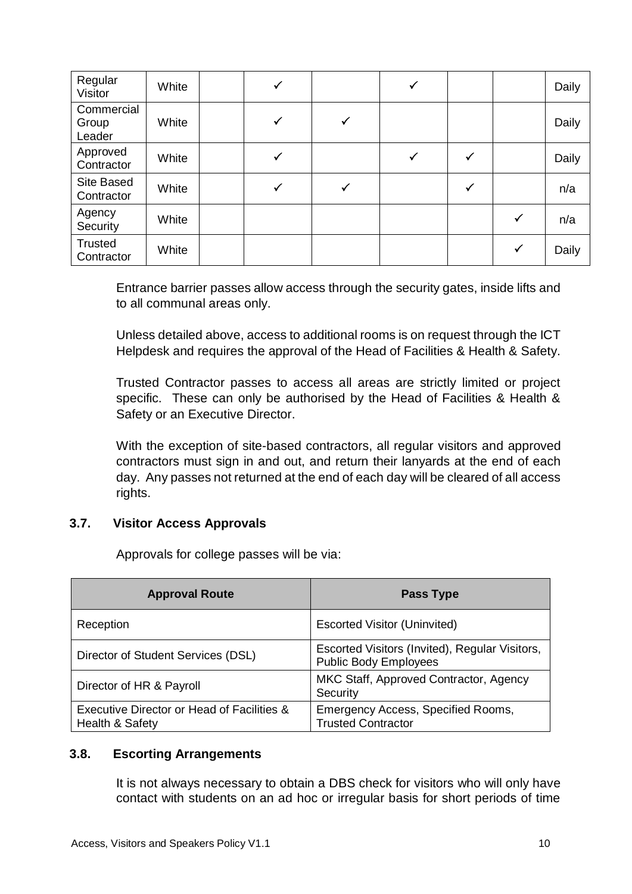| Regular<br>Visitor            | White | ✓ |              | ✓ |   |              | Daily |
|-------------------------------|-------|---|--------------|---|---|--------------|-------|
| Commercial<br>Group<br>Leader | White | ✓ | $\checkmark$ |   |   |              | Daily |
| Approved<br>Contractor        | White | ✓ |              | ✓ | ✓ |              | Daily |
| Site Based<br>Contractor      | White | ✓ |              |   |   |              | n/a   |
| Agency<br>Security            | White |   |              |   |   | ✓            | n/a   |
| <b>Trusted</b><br>Contractor  | White |   |              |   |   | $\checkmark$ | Daily |

Entrance barrier passes allow access through the security gates, inside lifts and to all communal areas only.

Unless detailed above, access to additional rooms is on request through the ICT Helpdesk and requires the approval of the Head of Facilities & Health & Safety.

Trusted Contractor passes to access all areas are strictly limited or project specific. These can only be authorised by the Head of Facilities & Health & Safety or an Executive Director.

With the exception of site-based contractors, all regular visitors and approved contractors must sign in and out, and return their lanyards at the end of each day. Any passes not returned at the end of each day will be cleared of all access rights.

#### <span id="page-8-0"></span>**3.7. Visitor Access Approvals**

Approvals for college passes will be via:

| <b>Approval Route</b>                                         | <b>Pass Type</b>                                                               |
|---------------------------------------------------------------|--------------------------------------------------------------------------------|
| Reception                                                     | <b>Escorted Visitor (Uninvited)</b>                                            |
| Director of Student Services (DSL)                            | Escorted Visitors (Invited), Regular Visitors,<br><b>Public Body Employees</b> |
| Director of HR & Payroll                                      | MKC Staff, Approved Contractor, Agency<br>Security                             |
| Executive Director or Head of Facilities &<br>Health & Safety | Emergency Access, Specified Rooms,<br><b>Trusted Contractor</b>                |

#### <span id="page-8-1"></span>**3.8. Escorting Arrangements**

It is not always necessary to obtain a DBS check for visitors who will only have contact with students on an ad hoc or irregular basis for short periods of time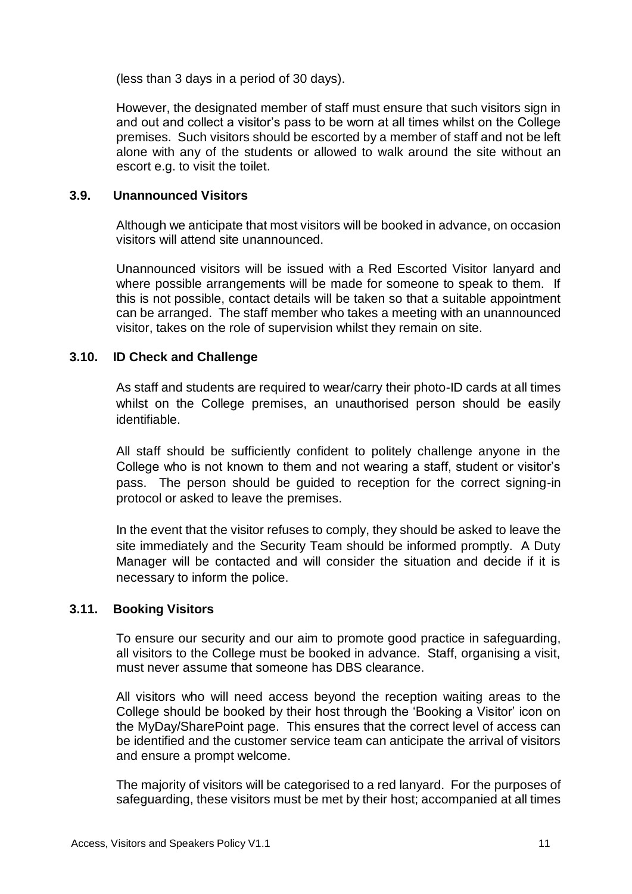(less than 3 days in a period of 30 days).

However, the designated member of staff must ensure that such visitors sign in and out and collect a visitor's pass to be worn at all times whilst on the College premises. Such visitors should be escorted by a member of staff and not be left alone with any of the students or allowed to walk around the site without an escort e.g. to visit the toilet.

#### <span id="page-9-0"></span>**3.9. Unannounced Visitors**

Although we anticipate that most visitors will be booked in advance, on occasion visitors will attend site unannounced.

Unannounced visitors will be issued with a Red Escorted Visitor lanyard and where possible arrangements will be made for someone to speak to them. If this is not possible, contact details will be taken so that a suitable appointment can be arranged. The staff member who takes a meeting with an unannounced visitor, takes on the role of supervision whilst they remain on site.

#### <span id="page-9-1"></span>**3.10. ID Check and Challenge**

As staff and students are required to wear/carry their photo-ID cards at all times whilst on the College premises, an unauthorised person should be easily identifiable.

All staff should be sufficiently confident to politely challenge anyone in the College who is not known to them and not wearing a staff, student or visitor's pass. The person should be guided to reception for the correct signing-in protocol or asked to leave the premises.

In the event that the visitor refuses to comply, they should be asked to leave the site immediately and the Security Team should be informed promptly. A Duty Manager will be contacted and will consider the situation and decide if it is necessary to inform the police.

#### <span id="page-9-2"></span>**3.11. Booking Visitors**

To ensure our security and our aim to promote good practice in safeguarding, all visitors to the College must be booked in advance. Staff, organising a visit, must never assume that someone has DBS clearance.

All visitors who will need access beyond the reception waiting areas to the College should be booked by their host through the 'Booking a Visitor' icon on the MyDay/SharePoint page. This ensures that the correct level of access can be identified and the customer service team can anticipate the arrival of visitors and ensure a prompt welcome.

The majority of visitors will be categorised to a red lanyard. For the purposes of safeguarding, these visitors must be met by their host; accompanied at all times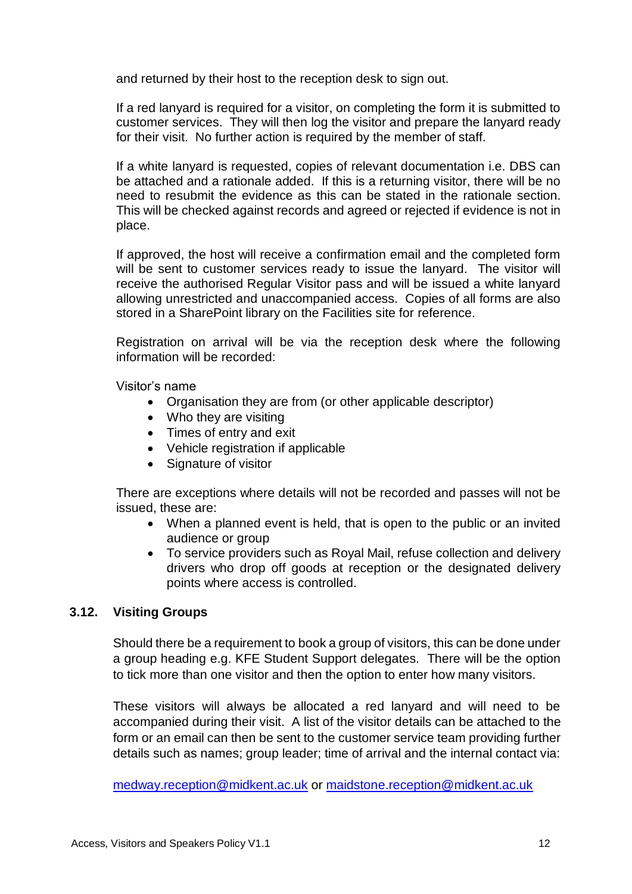and returned by their host to the reception desk to sign out.

If a red lanyard is required for a visitor, on completing the form it is submitted to customer services. They will then log the visitor and prepare the lanyard ready for their visit. No further action is required by the member of staff.

If a white lanyard is requested, copies of relevant documentation i.e. DBS can be attached and a rationale added. If this is a returning visitor, there will be no need to resubmit the evidence as this can be stated in the rationale section. This will be checked against records and agreed or rejected if evidence is not in place.

If approved, the host will receive a confirmation email and the completed form will be sent to customer services ready to issue the lanyard. The visitor will receive the authorised Regular Visitor pass and will be issued a white lanyard allowing unrestricted and unaccompanied access. Copies of all forms are also stored in a SharePoint library on the Facilities site for reference.

Registration on arrival will be via the reception desk where the following information will be recorded:

Visitor's name

- Organisation they are from (or other applicable descriptor)
- Who they are visiting
- Times of entry and exit
- Vehicle registration if applicable
- Signature of visitor

There are exceptions where details will not be recorded and passes will not be issued, these are:

- When a planned event is held, that is open to the public or an invited audience or group
- To service providers such as Royal Mail, refuse collection and delivery drivers who drop off goods at reception or the designated delivery points where access is controlled.

#### <span id="page-10-0"></span>**3.12. Visiting Groups**

Should there be a requirement to book a group of visitors, this can be done under a group heading e.g. KFE Student Support delegates. There will be the option to tick more than one visitor and then the option to enter how many visitors.

These visitors will always be allocated a red lanyard and will need to be accompanied during their visit. A list of the visitor details can be attached to the form or an email can then be sent to the customer service team providing further details such as names; group leader; time of arrival and the internal contact via:

[medway.reception@midkent.ac.uk](mailto:medway.reception@midkent.ac.uk) or [maidstone.reception@midkent.ac.uk](mailto:maidstone.reception@midkent.ac.uk)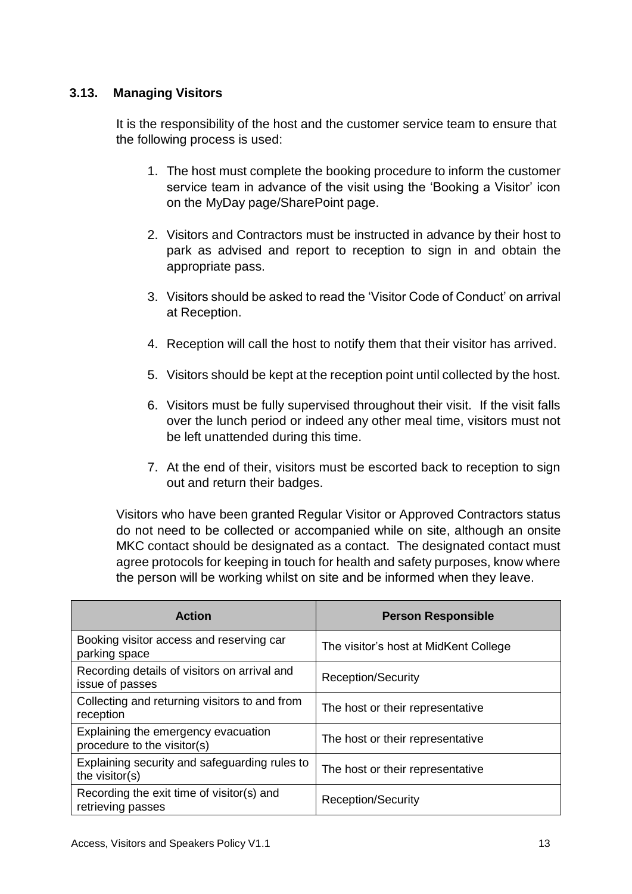# <span id="page-11-0"></span>**3.13. Managing Visitors**

It is the responsibility of the host and the customer service team to ensure that the following process is used:

- 1. The host must complete the booking procedure to inform the customer service team in advance of the visit using the 'Booking a Visitor' icon on the MyDay page/SharePoint page.
- 2. Visitors and Contractors must be instructed in advance by their host to park as advised and report to reception to sign in and obtain the appropriate pass.
- 3. Visitors should be asked to read the 'Visitor Code of Conduct' on arrival at Reception.
- 4. Reception will call the host to notify them that their visitor has arrived.
- 5. Visitors should be kept at the reception point until collected by the host.
- 6. Visitors must be fully supervised throughout their visit. If the visit falls over the lunch period or indeed any other meal time, visitors must not be left unattended during this time.
- 7. At the end of their, visitors must be escorted back to reception to sign out and return their badges.

Visitors who have been granted Regular Visitor or Approved Contractors status do not need to be collected or accompanied while on site, although an onsite MKC contact should be designated as a contact. The designated contact must agree protocols for keeping in touch for health and safety purposes, know where the person will be working whilst on site and be informed when they leave.

| <b>Action</b>                                                      | <b>Person Responsible</b>             |
|--------------------------------------------------------------------|---------------------------------------|
| Booking visitor access and reserving car<br>parking space          | The visitor's host at MidKent College |
| Recording details of visitors on arrival and<br>issue of passes    | <b>Reception/Security</b>             |
| Collecting and returning visitors to and from<br>reception         | The host or their representative      |
| Explaining the emergency evacuation<br>procedure to the visitor(s) | The host or their representative      |
| Explaining security and safeguarding rules to<br>the visitor(s)    | The host or their representative      |
| Recording the exit time of visitor(s) and<br>retrieving passes     | <b>Reception/Security</b>             |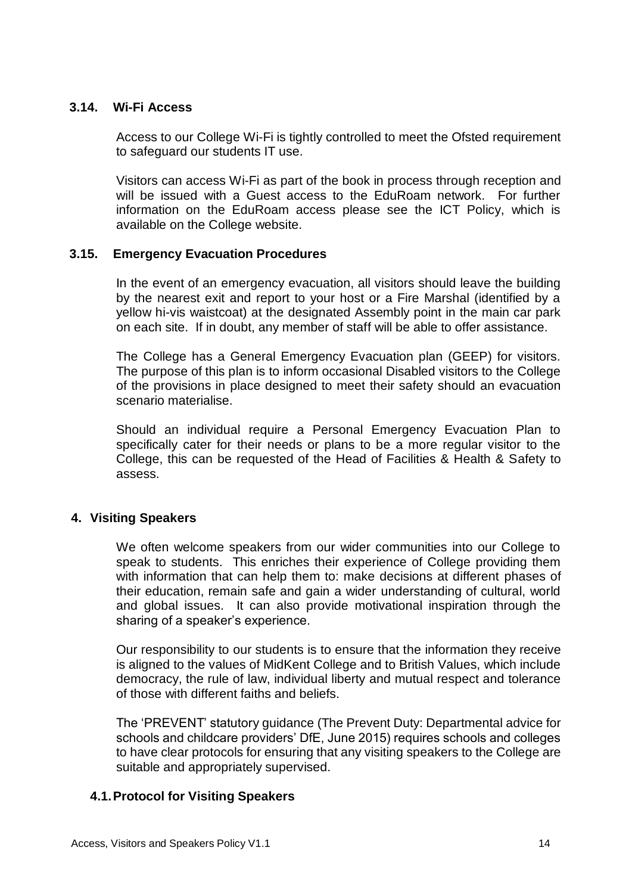#### <span id="page-12-0"></span>**3.14. Wi-Fi Access**

Access to our College Wi-Fi is tightly controlled to meet the Ofsted requirement to safeguard our students IT use.

Visitors can access Wi-Fi as part of the book in process through reception and will be issued with a Guest access to the EduRoam network. For further information on the EduRoam access please see the ICT Policy, which is available on the College website.

#### <span id="page-12-1"></span>**3.15. Emergency Evacuation Procedures**

In the event of an emergency evacuation, all visitors should leave the building by the nearest exit and report to your host or a Fire Marshal (identified by a yellow hi-vis waistcoat) at the designated Assembly point in the main car park on each site. If in doubt, any member of staff will be able to offer assistance.

The College has a General Emergency Evacuation plan (GEEP) for visitors. The purpose of this plan is to inform occasional Disabled visitors to the College of the provisions in place designed to meet their safety should an evacuation scenario materialise.

Should an individual require a Personal Emergency Evacuation Plan to specifically cater for their needs or plans to be a more regular visitor to the College, this can be requested of the Head of Facilities & Health & Safety to assess.

#### <span id="page-12-2"></span>**4. Visiting Speakers**

We often welcome speakers from our wider communities into our College to speak to students. This enriches their experience of College providing them with information that can help them to: make decisions at different phases of their education, remain safe and gain a wider understanding of cultural, world and global issues. It can also provide motivational inspiration through the sharing of a speaker's experience.

Our responsibility to our students is to ensure that the information they receive is aligned to the values of MidKent College and to British Values, which include democracy, the rule of law, individual liberty and mutual respect and tolerance of those with different faiths and beliefs.

The 'PREVENT' statutory guidance (The Prevent Duty: Departmental advice for schools and childcare providers' DfE, June 2015) requires schools and colleges to have clear protocols for ensuring that any visiting speakers to the College are suitable and appropriately supervised.

# <span id="page-12-3"></span>**4.1.Protocol for Visiting Speakers**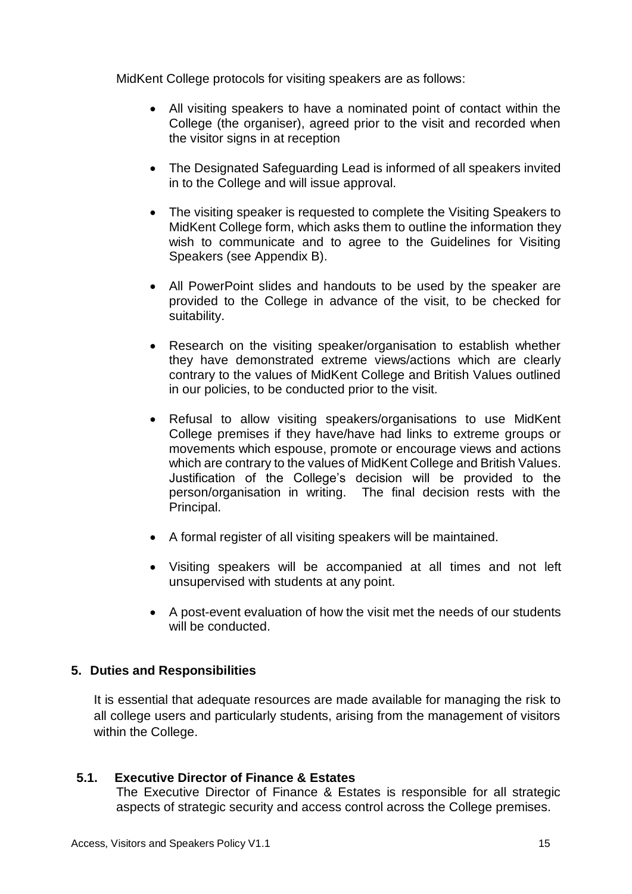MidKent College protocols for visiting speakers are as follows:

- All visiting speakers to have a nominated point of contact within the College (the organiser), agreed prior to the visit and recorded when the visitor signs in at reception
- The Designated Safeguarding Lead is informed of all speakers invited in to the College and will issue approval.
- The visiting speaker is requested to complete the Visiting Speakers to MidKent College form, which asks them to outline the information they wish to communicate and to agree to the Guidelines for Visiting Speakers (see Appendix B).
- All PowerPoint slides and handouts to be used by the speaker are provided to the College in advance of the visit, to be checked for suitability.
- Research on the visiting speaker/organisation to establish whether they have demonstrated extreme views/actions which are clearly contrary to the values of MidKent College and British Values outlined in our policies, to be conducted prior to the visit.
- Refusal to allow visiting speakers/organisations to use MidKent College premises if they have/have had links to extreme groups or movements which espouse, promote or encourage views and actions which are contrary to the values of MidKent College and British Values. Justification of the College's decision will be provided to the person/organisation in writing. The final decision rests with the Principal.
- A formal register of all visiting speakers will be maintained.
- Visiting speakers will be accompanied at all times and not left unsupervised with students at any point.
- A post-event evaluation of how the visit met the needs of our students will be conducted.

#### <span id="page-13-0"></span>**5. Duties and Responsibilities**

It is essential that adequate resources are made available for managing the risk to all college users and particularly students, arising from the management of visitors within the College.

#### <span id="page-13-1"></span>**5.1. Executive Director of Finance & Estates**

The Executive Director of Finance & Estates is responsible for all strategic aspects of strategic security and access control across the College premises.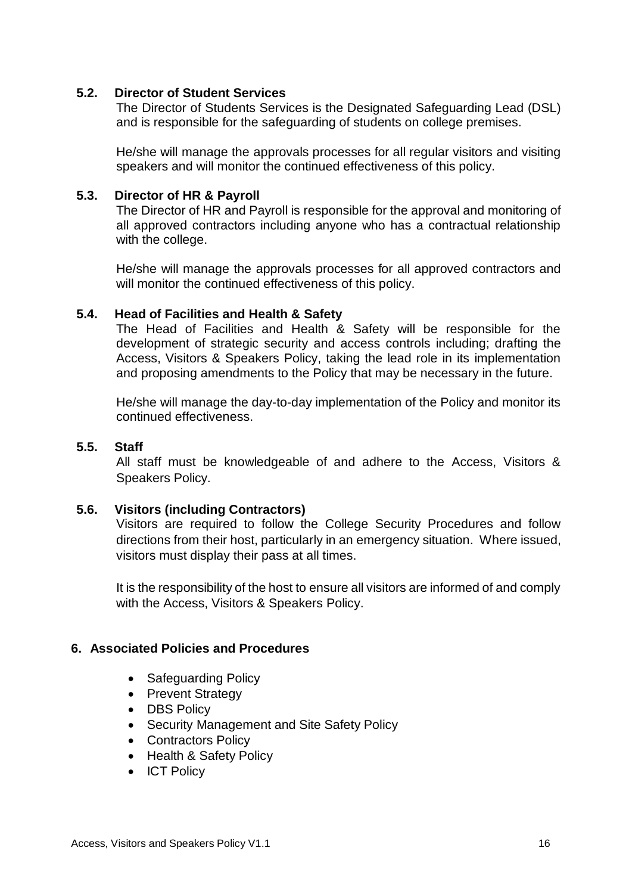#### <span id="page-14-0"></span>**5.2. Director of Student Services**

The Director of Students Services is the Designated Safeguarding Lead (DSL) and is responsible for the safeguarding of students on college premises.

He/she will manage the approvals processes for all regular visitors and visiting speakers and will monitor the continued effectiveness of this policy.

#### <span id="page-14-1"></span>**5.3. Director of HR & Payroll**

The Director of HR and Payroll is responsible for the approval and monitoring of all approved contractors including anyone who has a contractual relationship with the college.

He/she will manage the approvals processes for all approved contractors and will monitor the continued effectiveness of this policy.

#### <span id="page-14-2"></span>**5.4. Head of Facilities and Health & Safety**

The Head of Facilities and Health & Safety will be responsible for the development of strategic security and access controls including; drafting the Access, Visitors & Speakers Policy, taking the lead role in its implementation and proposing amendments to the Policy that may be necessary in the future.

He/she will manage the day-to-day implementation of the Policy and monitor its continued effectiveness.

#### <span id="page-14-3"></span>**5.5. Staff**

All staff must be knowledgeable of and adhere to the Access, Visitors & Speakers Policy.

#### <span id="page-14-4"></span>**5.6. Visitors (including Contractors)**

Visitors are required to follow the College Security Procedures and follow directions from their host, particularly in an emergency situation. Where issued, visitors must display their pass at all times.

It is the responsibility of the host to ensure all visitors are informed of and comply with the Access, Visitors & Speakers Policy.

#### <span id="page-14-5"></span>**6. Associated Policies and Procedures**

- Safeguarding Policy
- Prevent Strategy
- DBS Policy
- Security Management and Site Safety Policy
- Contractors Policy
- Health & Safety Policy
- ICT Policy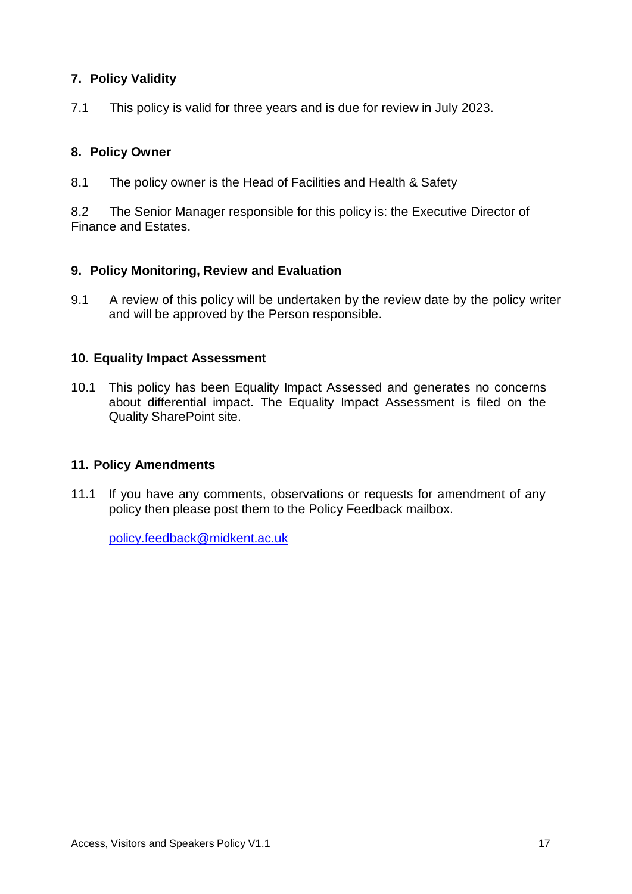# <span id="page-15-0"></span>**7. Policy Validity**

7.1 This policy is valid for three years and is due for review in July 2023.

# <span id="page-15-1"></span>**8. Policy Owner**

8.1 The policy owner is the Head of Facilities and Health & Safety

8.2 The Senior Manager responsible for this policy is: the Executive Director of Finance and Estates.

#### <span id="page-15-2"></span>**9. Policy Monitoring, Review and Evaluation**

9.1 A review of this policy will be undertaken by the review date by the policy writer and will be approved by the Person responsible.

#### <span id="page-15-3"></span>**10. Equality Impact Assessment**

10.1 This policy has been Equality Impact Assessed and generates no concerns about differential impact. The Equality Impact Assessment is filed on the Quality SharePoint site.

#### <span id="page-15-4"></span>**11. Policy Amendments**

11.1 If you have any comments, observations or requests for amendment of any policy then please post them to the Policy Feedback mailbox.

[policy.feedback@midkent.ac.uk](mailto:policy.feedback@midkent.ac.uk)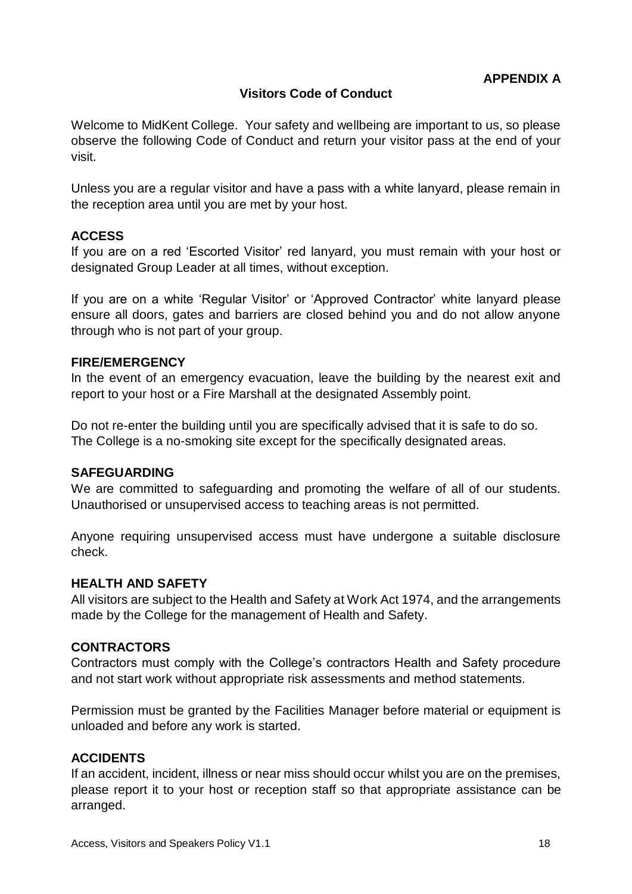# **Visitors Code of Conduct**

<span id="page-16-0"></span>Welcome to MidKent College. Your safety and wellbeing are important to us, so please observe the following Code of Conduct and return your visitor pass at the end of your visit.

Unless you are a regular visitor and have a pass with a white lanyard, please remain in the reception area until you are met by your host.

#### **ACCESS**

If you are on a red 'Escorted Visitor' red lanyard, you must remain with your host or designated Group Leader at all times, without exception.

If you are on a white 'Regular Visitor' or 'Approved Contractor' white lanyard please ensure all doors, gates and barriers are closed behind you and do not allow anyone through who is not part of your group.

#### **FIRE/EMERGENCY**

In the event of an emergency evacuation, leave the building by the nearest exit and report to your host or a Fire Marshall at the designated Assembly point.

Do not re-enter the building until you are specifically advised that it is safe to do so. The College is a no-smoking site except for the specifically designated areas.

#### **SAFEGUARDING**

We are committed to safeguarding and promoting the welfare of all of our students. Unauthorised or unsupervised access to teaching areas is not permitted.

Anyone requiring unsupervised access must have undergone a suitable disclosure check.

#### **HEALTH AND SAFETY**

All visitors are subject to the Health and Safety at Work Act 1974, and the arrangements made by the College for the management of Health and Safety.

#### **CONTRACTORS**

Contractors must comply with the College's contractors Health and Safety procedure and not start work without appropriate risk assessments and method statements.

Permission must be granted by the Facilities Manager before material or equipment is unloaded and before any work is started.

#### **ACCIDENTS**

If an accident, incident, illness or near miss should occur whilst you are on the premises, please report it to your host or reception staff so that appropriate assistance can be arranged.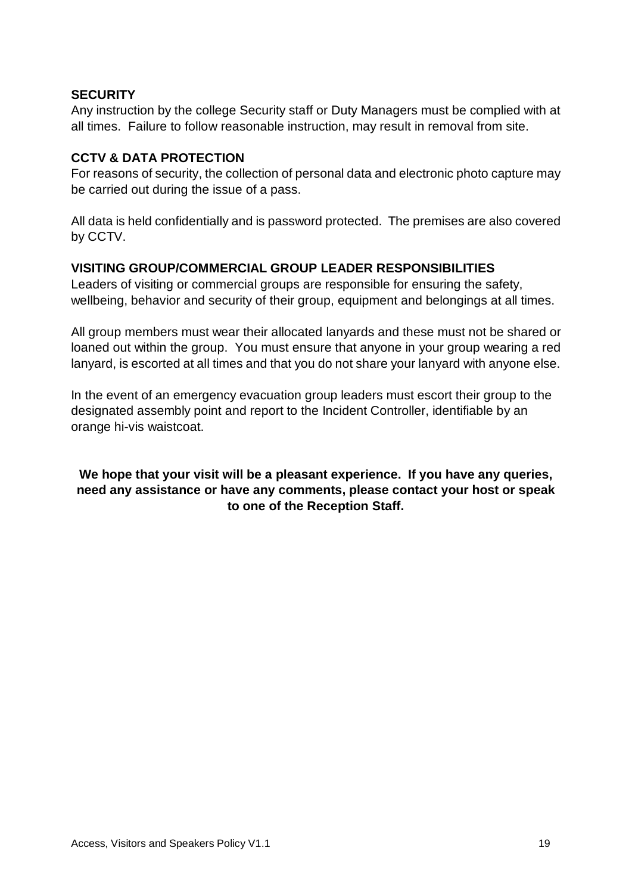## **SECURITY**

Any instruction by the college Security staff or Duty Managers must be complied with at all times. Failure to follow reasonable instruction, may result in removal from site.

#### **CCTV & DATA PROTECTION**

For reasons of security, the collection of personal data and electronic photo capture may be carried out during the issue of a pass.

All data is held confidentially and is password protected. The premises are also covered by CCTV.

# **VISITING GROUP/COMMERCIAL GROUP LEADER RESPONSIBILITIES**

Leaders of visiting or commercial groups are responsible for ensuring the safety, wellbeing, behavior and security of their group, equipment and belongings at all times.

All group members must wear their allocated lanyards and these must not be shared or loaned out within the group. You must ensure that anyone in your group wearing a red lanyard, is escorted at all times and that you do not share your lanyard with anyone else.

In the event of an emergency evacuation group leaders must escort their group to the designated assembly point and report to the Incident Controller, identifiable by an orange hi-vis waistcoat.

**We hope that your visit will be a pleasant experience. If you have any queries, need any assistance or have any comments, please contact your host or speak to one of the Reception Staff.**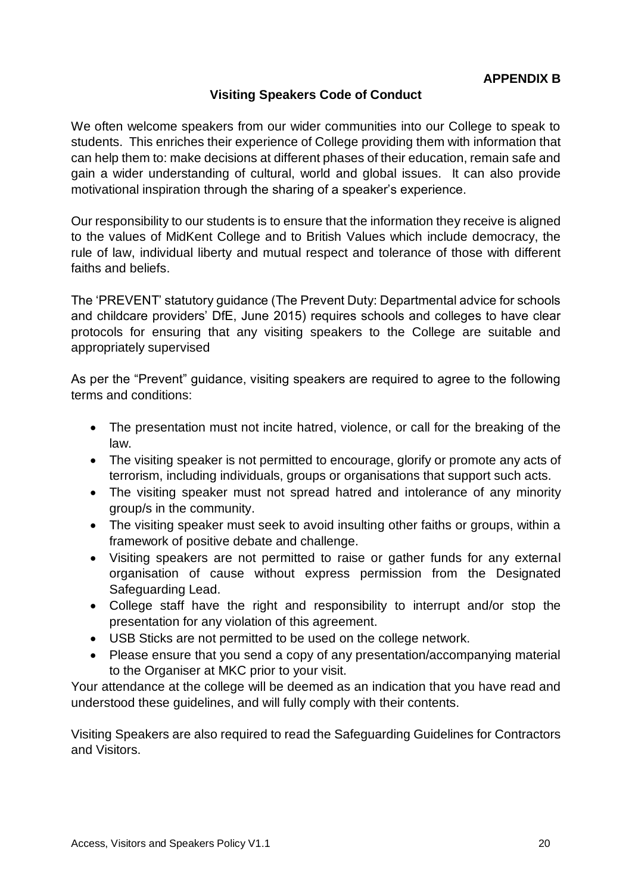# **Visiting Speakers Code of Conduct**

<span id="page-18-0"></span>We often welcome speakers from our wider communities into our College to speak to students. This enriches their experience of College providing them with information that can help them to: make decisions at different phases of their education, remain safe and gain a wider understanding of cultural, world and global issues. It can also provide motivational inspiration through the sharing of a speaker's experience.

Our responsibility to our students is to ensure that the information they receive is aligned to the values of MidKent College and to British Values which include democracy, the rule of law, individual liberty and mutual respect and tolerance of those with different faiths and beliefs.

The 'PREVENT' statutory guidance (The Prevent Duty: Departmental advice for schools and childcare providers' DfE, June 2015) requires schools and colleges to have clear protocols for ensuring that any visiting speakers to the College are suitable and appropriately supervised

As per the "Prevent" guidance, visiting speakers are required to agree to the following terms and conditions:

- The presentation must not incite hatred, violence, or call for the breaking of the law.
- The visiting speaker is not permitted to encourage, glorify or promote any acts of terrorism, including individuals, groups or organisations that support such acts.
- The visiting speaker must not spread hatred and intolerance of any minority group/s in the community.
- The visiting speaker must seek to avoid insulting other faiths or groups, within a framework of positive debate and challenge.
- Visiting speakers are not permitted to raise or gather funds for any external organisation of cause without express permission from the Designated Safeguarding Lead.
- College staff have the right and responsibility to interrupt and/or stop the presentation for any violation of this agreement.
- USB Sticks are not permitted to be used on the college network.
- Please ensure that you send a copy of any presentation/accompanying material to the Organiser at MKC prior to your visit.

Your attendance at the college will be deemed as an indication that you have read and understood these guidelines, and will fully comply with their contents.

Visiting Speakers are also required to read the Safeguarding Guidelines for Contractors and Visitors.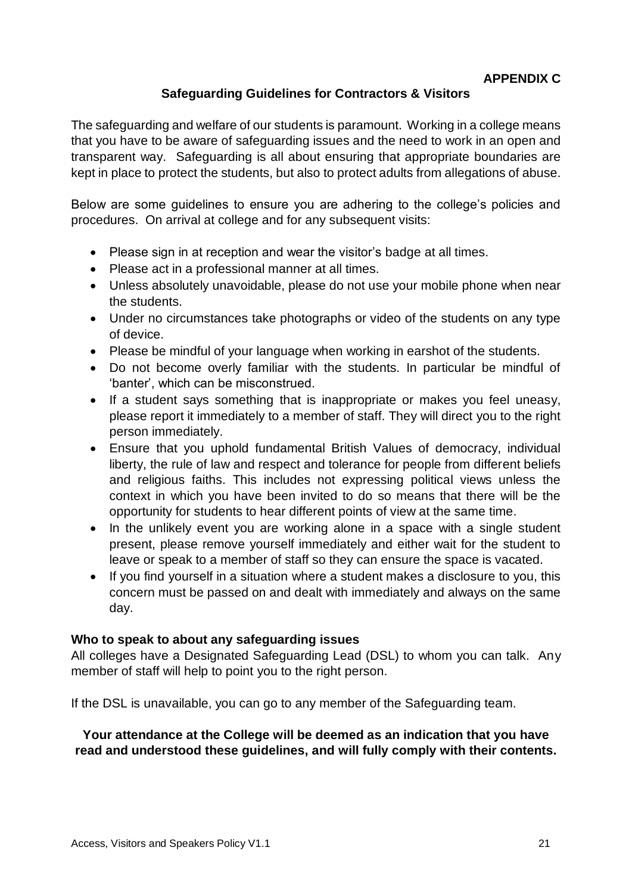# **Safeguarding Guidelines for Contractors & Visitors**

<span id="page-19-0"></span>The safeguarding and welfare of our students is paramount. Working in a college means that you have to be aware of safeguarding issues and the need to work in an open and transparent way. Safeguarding is all about ensuring that appropriate boundaries are kept in place to protect the students, but also to protect adults from allegations of abuse.

Below are some guidelines to ensure you are adhering to the college's policies and procedures. On arrival at college and for any subsequent visits:

- Please sign in at reception and wear the visitor's badge at all times.
- Please act in a professional manner at all times.
- Unless absolutely unavoidable, please do not use your mobile phone when near the students.
- Under no circumstances take photographs or video of the students on any type of device.
- Please be mindful of your language when working in earshot of the students.
- Do not become overly familiar with the students. In particular be mindful of 'banter', which can be misconstrued.
- If a student says something that is inappropriate or makes you feel uneasy, please report it immediately to a member of staff. They will direct you to the right person immediately.
- Ensure that you uphold fundamental British Values of democracy, individual liberty, the rule of law and respect and tolerance for people from different beliefs and religious faiths. This includes not expressing political views unless the context in which you have been invited to do so means that there will be the opportunity for students to hear different points of view at the same time.
- In the unlikely event you are working alone in a space with a single student present, please remove yourself immediately and either wait for the student to leave or speak to a member of staff so they can ensure the space is vacated.
- If you find yourself in a situation where a student makes a disclosure to you, this concern must be passed on and dealt with immediately and always on the same day.

#### **Who to speak to about any safeguarding issues**

All colleges have a Designated Safeguarding Lead (DSL) to whom you can talk. Any member of staff will help to point you to the right person.

If the DSL is unavailable, you can go to any member of the Safeguarding team.

#### **Your attendance at the College will be deemed as an indication that you have read and understood these guidelines, and will fully comply with their contents.**